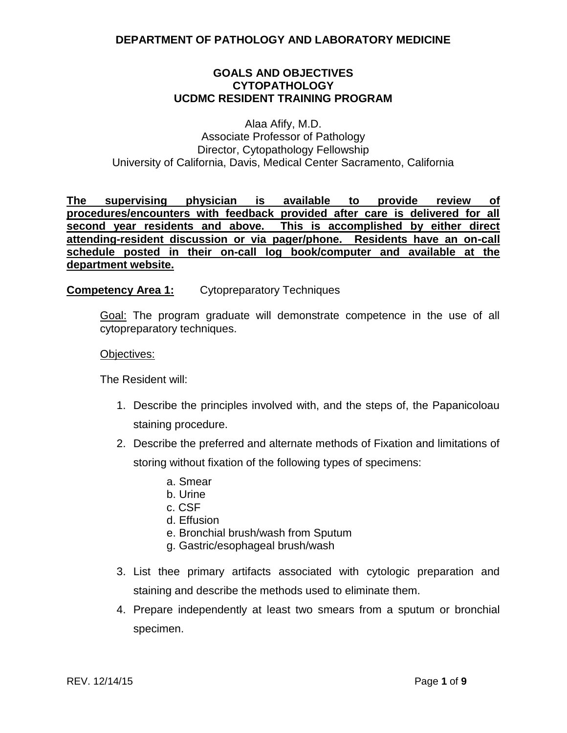### **GOALS AND OBJECTIVES CYTOPATHOLOGY UCDMC RESIDENT TRAINING PROGRAM**

Alaa Afify, M.D. Associate Professor of Pathology Director, Cytopathology Fellowship University of California, Davis, Medical Center Sacramento, California

**The supervising physician is available to provide review of procedures/encounters with feedback provided after care is delivered for all second year residents and above. This is accomplished by either direct attending-resident discussion or via pager/phone. Residents have an on-call schedule posted in their on-call log book/computer and available at the department website.** 

### **Competency Area 1:** Cytopreparatory Techniques

Goal: The program graduate will demonstrate competence in the use of all cytopreparatory techniques.

#### Objectives:

The Resident will:

- 1. Describe the principles involved with, and the steps of, the Papanicoloau staining procedure.
- 2. Describe the preferred and alternate methods of Fixation and limitations of storing without fixation of the following types of specimens:
	- a. Smear
	- b. Urine
	- c. CSF
	- d. Effusion
	- e. Bronchial brush/wash from Sputum
	- g. Gastric/esophageal brush/wash
- 3. List thee primary artifacts associated with cytologic preparation and staining and describe the methods used to eliminate them.
- 4. Prepare independently at least two smears from a sputum or bronchial specimen.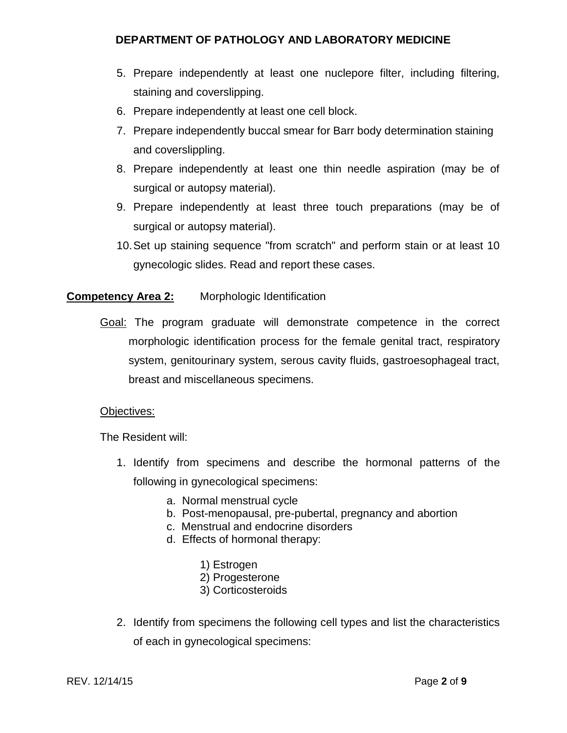- 5. Prepare independently at least one nuclepore filter, including filtering, staining and coverslipping.
- 6. Prepare independently at least one cell block.
- 7. Prepare independently buccal smear for Barr body determination staining and coverslippling.
- 8. Prepare independently at least one thin needle aspiration (may be of surgical or autopsy material).
- 9. Prepare independently at least three touch preparations (may be of surgical or autopsy material).
- 10.Set up staining sequence "from scratch" and perform stain or at least 10 gynecologic slides. Read and report these cases.

# **Competency Area 2:** Morphologic Identification

Goal: The program graduate will demonstrate competence in the correct morphologic identification process for the female genital tract, respiratory system, genitourinary system, serous cavity fluids, gastroesophageal tract, breast and miscellaneous specimens.

### Objectives:

The Resident will:

- 1. Identify from specimens and describe the hormonal patterns of the following in gynecological specimens:
	- a. Normal menstrual cycle
	- b. Post-menopausal, pre-pubertal, pregnancy and abortion
	- c. Menstrual and endocrine disorders
	- d. Effects of hormonal therapy:
		- 1) Estrogen
		- 2) Progesterone
		- 3) Corticosteroids
- 2. Identify from specimens the following cell types and list the characteristics of each in gynecological specimens: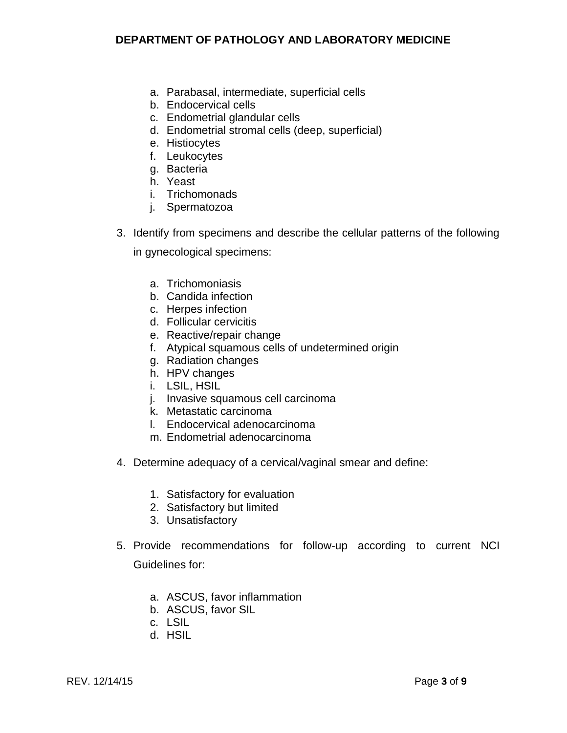- a. Parabasal, intermediate, superficial cells
- b. Endocervical cells
- c. Endometrial glandular cells
- d. Endometrial stromal cells (deep, superficial)
- e. Histiocytes
- f. Leukocytes
- g. Bacteria
- h. Yeast
- i. Trichomonads
- j. Spermatozoa
- 3. Identify from specimens and describe the cellular patterns of the following

in gynecological specimens:

- a. Trichomoniasis
- b. Candida infection
- c. Herpes infection
- d. Follicular cervicitis
- e. Reactive/repair change
- f. Atypical squamous cells of undetermined origin
- g. Radiation changes
- h. HPV changes
- i. LSIL, HSIL
- j. Invasive squamous cell carcinoma
- k. Metastatic carcinoma
- l. Endocervical adenocarcinoma
- m. Endometrial adenocarcinoma
- 4. Determine adequacy of a cervical/vaginal smear and define:
	- 1. Satisfactory for evaluation
	- 2. Satisfactory but limited
	- 3. Unsatisfactory
- 5. Provide recommendations for follow-up according to current NCI Guidelines for:
	- a. ASCUS, favor inflammation
	- b. ASCUS, favor SIL
	- c. LSIL
	- d. HSIL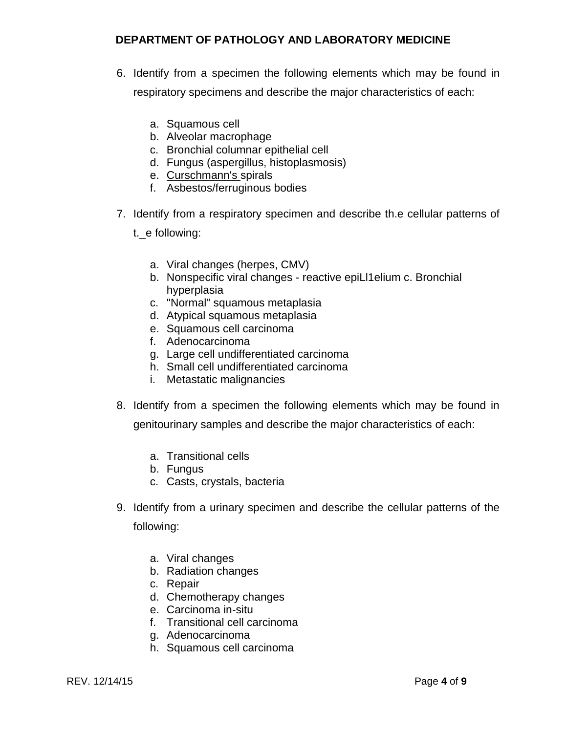- 6. Identify from a specimen the following elements which may be found in respiratory specimens and describe the major characteristics of each:
	- a. Squamous cell
	- b. Alveolar macrophage
	- c. Bronchial columnar epithelial cell
	- d. Fungus (aspergillus, histoplasmosis)
	- e. Curschmann's spirals
	- f. Asbestos/ferruginous bodies
- 7. Identify from a respiratory specimen and describe th.e cellular patterns of
	- t.\_e following:
		- a. Viral changes (herpes, CMV)
		- b. Nonspecific viral changes reactive epiLl1elium c. Bronchial hyperplasia
		- c. "Normal" squamous metaplasia
		- d. Atypical squamous metaplasia
		- e. Squamous cell carcinoma
		- f. Adenocarcinoma
		- g. Large cell undifferentiated carcinoma
		- h. Small cell undifferentiated carcinoma
		- i. Metastatic malignancies
- 8. Identify from a specimen the following elements which may be found in

genitourinary samples and describe the major characteristics of each:

- a. Transitional cells
- b. Fungus
- c. Casts, crystals, bacteria
- 9. Identify from a urinary specimen and describe the cellular patterns of the following:
	- a. Viral changes
	- b. Radiation changes
	- c. Repair
	- d. Chemotherapy changes
	- e. Carcinoma in-situ
	- f. Transitional cell carcinoma
	- g. Adenocarcinoma
	- h. Squamous cell carcinoma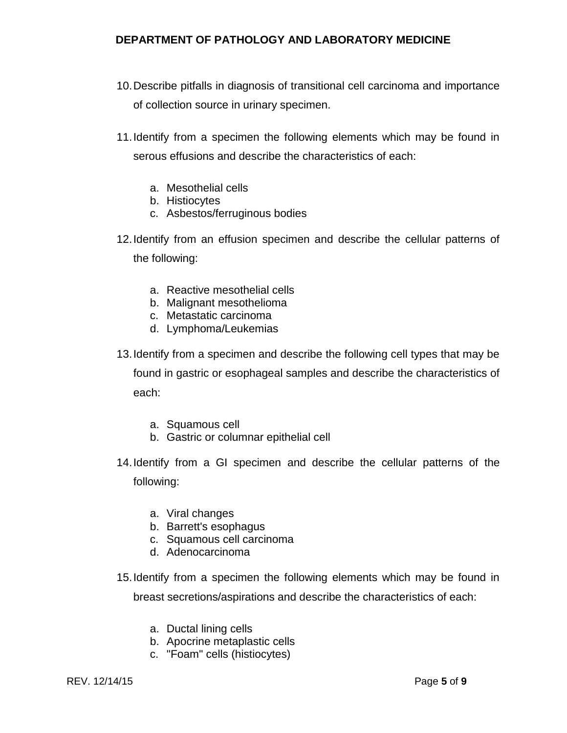- 10.Describe pitfalls in diagnosis of transitional cell carcinoma and importance of collection source in urinary specimen.
- 11.Identify from a specimen the following elements which may be found in serous effusions and describe the characteristics of each:
	- a. Mesothelial cells
	- b. Histiocytes
	- c. Asbestos/ferruginous bodies
- 12.Identify from an effusion specimen and describe the cellular patterns of the following:
	- a. Reactive mesothelial cells
	- b. Malignant mesothelioma
	- c. Metastatic carcinoma
	- d. Lymphoma/Leukemias
- 13.Identify from a specimen and describe the following cell types that may be found in gastric or esophageal samples and describe the characteristics of each:
	- a. Squamous cell
	- b. Gastric or columnar epithelial cell
- 14.Identify from a GI specimen and describe the cellular patterns of the following:
	- a. Viral changes
	- b. Barrett's esophagus
	- c. Squamous cell carcinoma
	- d. Adenocarcinoma
- 15.Identify from a specimen the following elements which may be found in breast secretions/aspirations and describe the characteristics of each:
	- a. Ductal lining cells
	- b. Apocrine metaplastic cells
	- c. "Foam" cells (histiocytes)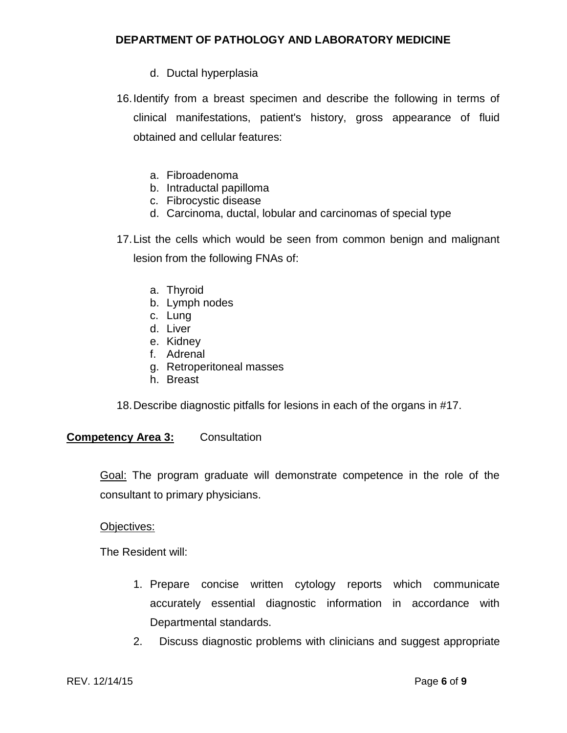- d. Ductal hyperplasia
- 16.Identify from a breast specimen and describe the following in terms of clinical manifestations, patient's history, gross appearance of fluid obtained and cellular features:
	- a. Fibroadenoma
	- b. Intraductal papilloma
	- c. Fibrocystic disease
	- d. Carcinoma, ductal, lobular and carcinomas of special type

17.List the cells which would be seen from common benign and malignant lesion from the following FNAs of:

- a. Thyroid
- b. Lymph nodes
- c. Lung
- d. Liver
- e. Kidney
- f. Adrenal
- g. Retroperitoneal masses
- h. Breast

18.Describe diagnostic pitfalls for lesions in each of the organs in #17.

### **Competency Area 3:** Consultation

Goal: The program graduate will demonstrate competence in the role of the consultant to primary physicians.

#### Objectives:

The Resident will:

- 1. Prepare concise written cytology reports which communicate accurately essential diagnostic information in accordance with Departmental standards.
- 2. Discuss diagnostic problems with clinicians and suggest appropriate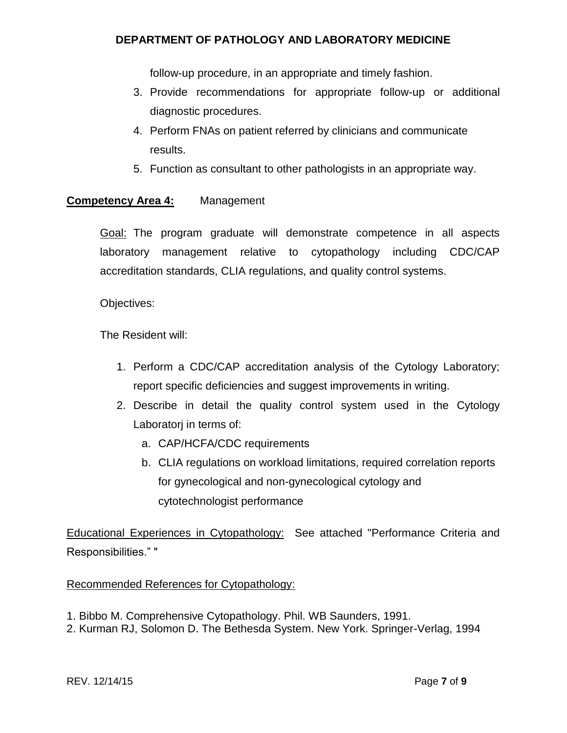follow-up procedure, in an appropriate and timely fashion.

- 3. Provide recommendations for appropriate follow-up or additional diagnostic procedures.
- 4. Perform FNAs on patient referred by clinicians and communicate results.
- 5. Function as consultant to other pathologists in an appropriate way.

# **Competency Area 4:** Management

Goal: The program graduate will demonstrate competence in all aspects laboratory management relative to cytopathology including CDC/CAP accreditation standards, CLIA regulations, and quality control systems.

Objectives:

The Resident will:

- 1. Perform a CDC/CAP accreditation analysis of the Cytology Laboratory; report specific deficiencies and suggest improvements in writing.
- 2. Describe in detail the quality control system used in the Cytology Laboratorj in terms of:
	- a. CAP/HCFA/CDC requirements
	- b. CLIA regulations on workload limitations, required correlation reports for gynecological and non-gynecological cytology and cytotechnologist performance

Educational Experiences in Cytopathology: See attached "Performance Criteria and Responsibilities." "

Recommended References for Cytopathology:

- 1. Bibbo M. Comprehensive Cytopathology. Phil. WB Saunders, 1991.
- 2. Kurman RJ, Solomon D. The Bethesda System. New York. Springer-Verlag, 1994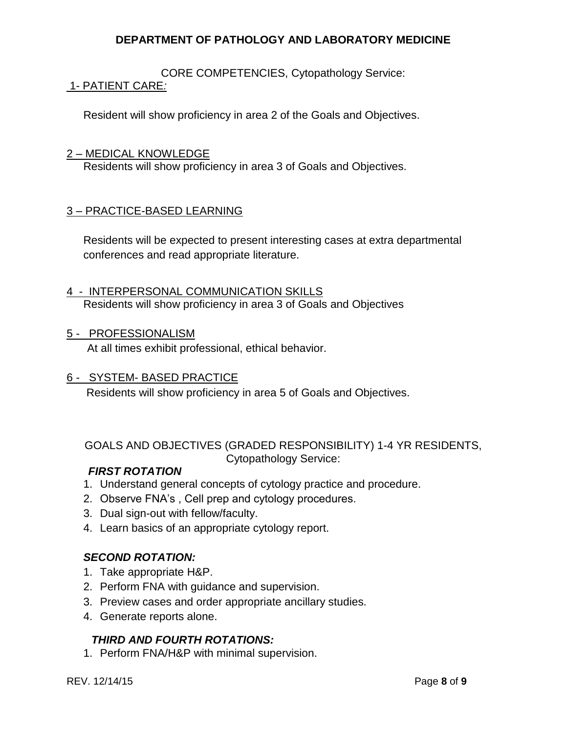CORE COMPETENCIES, Cytopathology Service: 1- PATIENT CARE*:*

Resident will show proficiency in area 2 of the Goals and Objectives.

#### 2 – MEDICAL KNOWLEDGE

Residents will show proficiency in area 3 of Goals and Objectives.

# 3 – PRACTICE-BASED LEARNING

Residents will be expected to present interesting cases at extra departmental conferences and read appropriate literature.

- 4 INTERPERSONAL COMMUNICATION SKILLS Residents will show proficiency in area 3 of Goals and Objectives
- 5 PROFESSIONALISM

At all times exhibit professional, ethical behavior.

### 6 - SYSTEM- BASED PRACTICE

Residents will show proficiency in area 5 of Goals and Objectives.

GOALS AND OBJECTIVES (GRADED RESPONSIBILITY) 1-4 YR RESIDENTS, Cytopathology Service:

### *FIRST ROTATION*

- 1. Understand general concepts of cytology practice and procedure.
- 2. Observe FNA's , Cell prep and cytology procedures.
- 3. Dual sign-out with fellow/faculty.
- 4. Learn basics of an appropriate cytology report.

### *SECOND ROTATION:*

- 1. Take appropriate H&P.
- 2. Perform FNA with guidance and supervision.
- 3. Preview cases and order appropriate ancillary studies.
- 4. Generate reports alone.

### *THIRD AND FOURTH ROTATIONS:*

1. Perform FNA/H&P with minimal supervision.